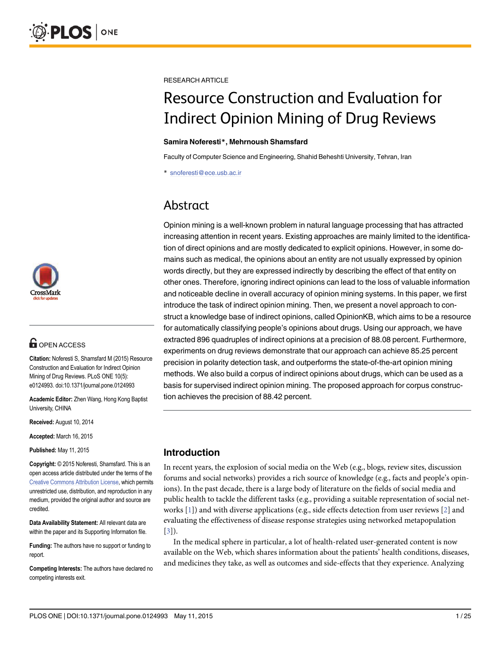

## **G** OPEN ACCESS

Citation: Noferesti S, Shamsfard M (2015) Resource Construction and Evaluation for Indirect Opinion Mining of Drug Reviews. PLoS ONE 10(5): e0124993. doi:10.1371/journal.pone.0124993

Academic Editor: Zhen Wang, Hong Kong Baptist University, CHINA

Received: August 10, 2014

Accepted: March 16, 2015

Published: May 11, 2015

Copyright: © 2015 Noferesti, Shamsfard. This is an open access article distributed under the terms of the [Creative Commons Attribution License,](http://creativecommons.org/licenses/by/4.0/) which permits unrestricted use, distribution, and reproduction in any medium, provided the original author and source are credited.

Data Availability Statement: All relevant data are within the paper and its Supporting Information file.

Funding: The authors have no support or funding to report.

Competing Interests: The authors have declared no competing interests exit.

<span id="page-0-0"></span>RESEARCH ARTICLE

# Resource Construction and Evaluation for Indirect Opinion Mining of Drug Reviews

#### Samira Noferesti\*, Mehrnoush Shamsfard

Faculty of Computer Science and Engineering, Shahid Beheshti University, Tehran, Iran

\* snoferesti@ece.usb.ac.ir

## Abstract

Opinion mining is a well-known problem in natural language processing that has attracted increasing attention in recent years. Existing approaches are mainly limited to the identification of direct opinions and are mostly dedicated to explicit opinions. However, in some domains such as medical, the opinions about an entity are not usually expressed by opinion words directly, but they are expressed indirectly by describing the effect of that entity on other ones. Therefore, ignoring indirect opinions can lead to the loss of valuable information and noticeable decline in overall accuracy of opinion mining systems. In this paper, we first introduce the task of indirect opinion mining. Then, we present a novel approach to construct a knowledge base of indirect opinions, called OpinionKB, which aims to be a resource for automatically classifying people's opinions about drugs. Using our approach, we have extracted 896 quadruples of indirect opinions at a precision of 88.08 percent. Furthermore, experiments on drug reviews demonstrate that our approach can achieve 85.25 percent precision in polarity detection task, and outperforms the state-of-the-art opinion mining methods. We also build a corpus of indirect opinions about drugs, which can be used as a basis for supervised indirect opinion mining. The proposed approach for corpus construction achieves the precision of 88.42 percent.

## Introduction

In recent years, the explosion of social media on the Web (e.g., blogs, review sites, discussion forums and social networks) provides a rich source of knowledge (e.g., facts and people's opinions). In the past decade, there is a large body of literature on the fields of social media and public health to tackle the different tasks (e.g., providing a suitable representation of social networks  $[1]$  $[1]$  $[1]$ ) and with diverse applications (e.g., side effects detection from user reviews  $[2]$  $[2]$  and evaluating the effectiveness of disease response strategies using networked metapopulation [\[3](#page-22-0)]).

In the medical sphere in particular, a lot of health-related user-generated content is now available on the Web, which shares information about the patients' health conditions, diseases, and medicines they take, as well as outcomes and side-effects that they experience. Analyzing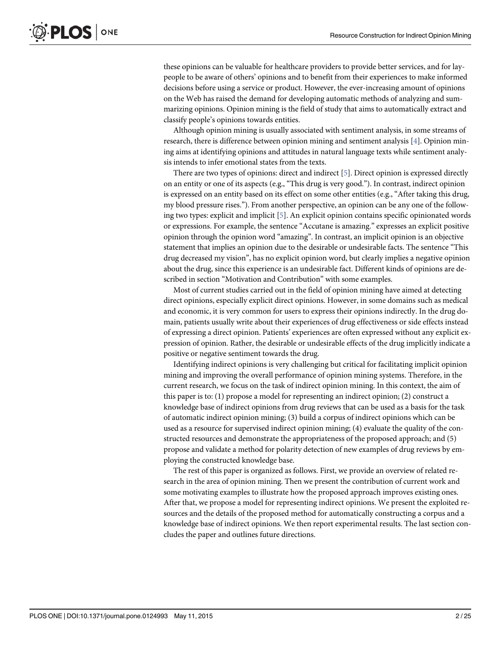<span id="page-1-0"></span>these opinions can be valuable for healthcare providers to provide better services, and for laypeople to be aware of others' opinions and to benefit from their experiences to make informed decisions before using a service or product. However, the ever-increasing amount of opinions on the Web has raised the demand for developing automatic methods of analyzing and summarizing opinions. Opinion mining is the field of study that aims to automatically extract and classify people's opinions towards entities.

Although opinion mining is usually associated with sentiment analysis, in some streams of research, there is difference between opinion mining and sentiment analysis [\[4](#page-22-0)]. Opinion mining aims at identifying opinions and attitudes in natural language texts while sentiment analysis intends to infer emotional states from the texts.

There are two types of opinions: direct and indirect  $[5]$ . Direct opinion is expressed directly on an entity or one of its aspects (e.g., "This drug is very good."). In contrast, indirect opinion is expressed on an entity based on its effect on some other entities (e.g., "After taking this drug, my blood pressure rises."). From another perspective, an opinion can be any one of the following two types: explicit and implicit  $[5]$  $[5]$ . An explicit opinion contains specific opinionated words or expressions. For example, the sentence "Accutane is amazing." expresses an explicit positive opinion through the opinion word "amazing". In contrast, an implicit opinion is an objective statement that implies an opinion due to the desirable or undesirable facts. The sentence "This drug decreased my vision", has no explicit opinion word, but clearly implies a negative opinion about the drug, since this experience is an undesirable fact. Different kinds of opinions are described in section "Motivation and Contribution" with some examples.

Most of current studies carried out in the field of opinion mining have aimed at detecting direct opinions, especially explicit direct opinions. However, in some domains such as medical and economic, it is very common for users to express their opinions indirectly. In the drug domain, patients usually write about their experiences of drug effectiveness or side effects instead of expressing a direct opinion. Patients' experiences are often expressed without any explicit expression of opinion. Rather, the desirable or undesirable effects of the drug implicitly indicate a positive or negative sentiment towards the drug.

Identifying indirect opinions is very challenging but critical for facilitating implicit opinion mining and improving the overall performance of opinion mining systems. Therefore, in the current research, we focus on the task of indirect opinion mining. In this context, the aim of this paper is to: (1) propose a model for representing an indirect opinion; (2) construct a knowledge base of indirect opinions from drug reviews that can be used as a basis for the task of automatic indirect opinion mining; (3) build a corpus of indirect opinions which can be used as a resource for supervised indirect opinion mining; (4) evaluate the quality of the constructed resources and demonstrate the appropriateness of the proposed approach; and (5) propose and validate a method for polarity detection of new examples of drug reviews by employing the constructed knowledge base.

The rest of this paper is organized as follows. First, we provide an overview of related research in the area of opinion mining. Then we present the contribution of current work and some motivating examples to illustrate how the proposed approach improves existing ones. After that, we propose a model for representing indirect opinions. We present the exploited resources and the details of the proposed method for automatically constructing a corpus and a knowledge base of indirect opinions. We then report experimental results. The last section concludes the paper and outlines future directions.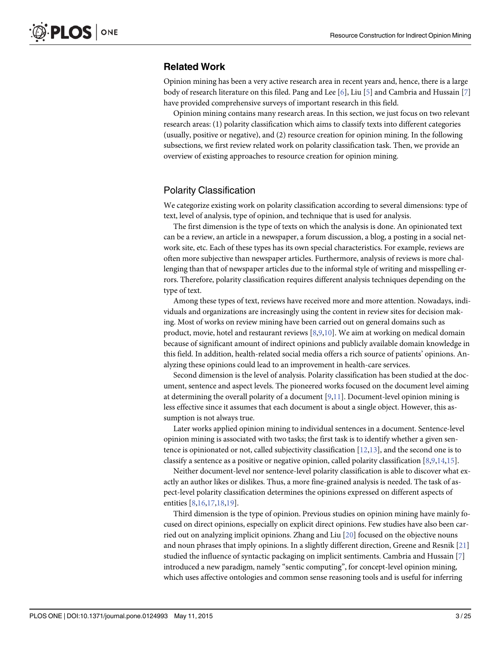### <span id="page-2-0"></span>Related Work

Opinion mining has been a very active research area in recent years and, hence, there is a large body of research literature on this filed. Pang and Lee [\[6\]](#page-23-0), Liu [\[5](#page-23-0)] and Cambria and Hussain [\[7](#page-23-0)] have provided comprehensive surveys of important research in this field.

Opinion mining contains many research areas. In this section, we just focus on two relevant research areas: (1) polarity classification which aims to classify texts into different categories (usually, positive or negative), and (2) resource creation for opinion mining. In the following subsections, we first review related work on polarity classification task. Then, we provide an overview of existing approaches to resource creation for opinion mining.

## Polarity Classification

We categorize existing work on polarity classification according to several dimensions: type of text, level of analysis, type of opinion, and technique that is used for analysis.

The first dimension is the type of texts on which the analysis is done. An opinionated text can be a review, an article in a newspaper, a forum discussion, a blog, a posting in a social network site, etc. Each of these types has its own special characteristics. For example, reviews are often more subjective than newspaper articles. Furthermore, analysis of reviews is more challenging than that of newspaper articles due to the informal style of writing and misspelling errors. Therefore, polarity classification requires different analysis techniques depending on the type of text.

Among these types of text, reviews have received more and more attention. Nowadays, individuals and organizations are increasingly using the content in review sites for decision making. Most of works on review mining have been carried out on general domains such as product, movie, hotel and restaurant reviews  $[8,9,10]$ . We aim at working on medical domain because of significant amount of indirect opinions and publicly available domain knowledge in this field. In addition, health-related social media offers a rich source of patients' opinions. Analyzing these opinions could lead to an improvement in health-care services.

Second dimension is the level of analysis. Polarity classification has been studied at the document, sentence and aspect levels. The pioneered works focused on the document level aiming at determining the overall polarity of a document [\[9,11\]](#page-23-0). Document-level opinion mining is less effective since it assumes that each document is about a single object. However, this assumption is not always true.

Later works applied opinion mining to individual sentences in a document. Sentence-level opinion mining is associated with two tasks; the first task is to identify whether a given sentence is opinionated or not, called subjectivity classification  $[12,13]$  $[12,13]$  $[12,13]$  $[12,13]$  $[12,13]$ , and the second one is to classify a sentence as a positive or negative opinion, called polarity classification [\[8,9,14,15\]](#page-23-0).

Neither document-level nor sentence-level polarity classification is able to discover what exactly an author likes or dislikes. Thus, a more fine-grained analysis is needed. The task of aspect-level polarity classification determines the opinions expressed on different aspects of entities [\[8,16,17,18](#page-23-0),[19](#page-23-0)].

Third dimension is the type of opinion. Previous studies on opinion mining have mainly focused on direct opinions, especially on explicit direct opinions. Few studies have also been carried out on analyzing implicit opinions. Zhang and Liu [\[20](#page-23-0)] focused on the objective nouns and noun phrases that imply opinions. In a slightly different direction, Greene and Resnik [[21\]](#page-23-0) studied the influence of syntactic packaging on implicit sentiments. Cambria and Hussain [\[7](#page-23-0)] introduced a new paradigm, namely "sentic computing", for concept-level opinion mining, which uses affective ontologies and common sense reasoning tools and is useful for inferring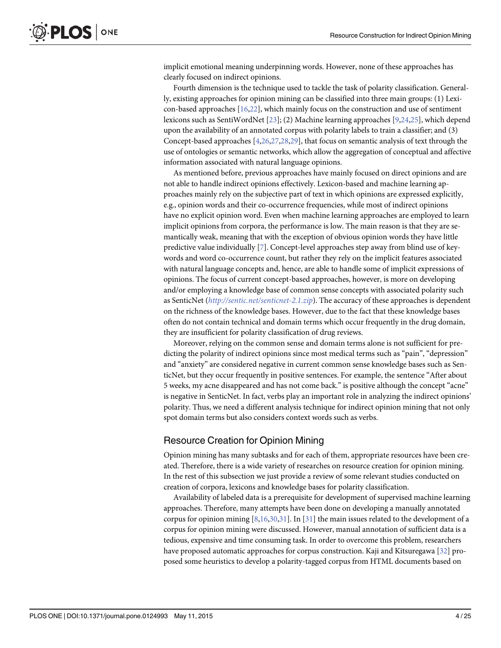<span id="page-3-0"></span>implicit emotional meaning underpinning words. However, none of these approaches has clearly focused on indirect opinions.

Fourth dimension is the technique used to tackle the task of polarity classification. Generally, existing approaches for opinion mining can be classified into three main groups: (1) Lexicon-based approaches [[16,22\]](#page-23-0), which mainly focus on the construction and use of sentiment lexicons such as SentiWordNet [[23\]](#page-23-0); (2) Machine learning approaches [\[9,24,25](#page-23-0)], which depend upon the availability of an annotated corpus with polarity labels to train a classifier; and (3) Concept-based approaches [[4](#page-22-0),[26,27,28,29](#page-23-0)], that focus on semantic analysis of text through the use of ontologies or semantic networks, which allow the aggregation of conceptual and affective information associated with natural language opinions.

As mentioned before, previous approaches have mainly focused on direct opinions and are not able to handle indirect opinions effectively. Lexicon-based and machine learning approaches mainly rely on the subjective part of text in which opinions are expressed explicitly, e.g., opinion words and their co-occurrence frequencies, while most of indirect opinions have no explicit opinion word. Even when machine learning approaches are employed to learn implicit opinions from corpora, the performance is low. The main reason is that they are semantically weak, meaning that with the exception of obvious opinion words they have little predictive value individually  $\boxed{7}$ . Concept-level approaches step away from blind use of keywords and word co-occurrence count, but rather they rely on the implicit features associated with natural language concepts and, hence, are able to handle some of implicit expressions of opinions. The focus of current concept-based approaches, however, is more on developing and/or employing a knowledge base of common sense concepts with associated polarity such as SenticNet (<http://sentic.net/senticnet-2.1.zip>). The accuracy of these approaches is dependent on the richness of the knowledge bases. However, due to the fact that these knowledge bases often do not contain technical and domain terms which occur frequently in the drug domain, they are insufficient for polarity classification of drug reviews.

Moreover, relying on the common sense and domain terms alone is not sufficient for predicting the polarity of indirect opinions since most medical terms such as "pain", "depression" and "anxiety" are considered negative in current common sense knowledge bases such as SenticNet, but they occur frequently in positive sentences. For example, the sentence "After about 5 weeks, my acne disappeared and has not come back." is positive although the concept "acne" is negative in SenticNet. In fact, verbs play an important role in analyzing the indirect opinions' polarity. Thus, we need a different analysis technique for indirect opinion mining that not only spot domain terms but also considers context words such as verbs.

### Resource Creation for Opinion Mining

Opinion mining has many subtasks and for each of them, appropriate resources have been created. Therefore, there is a wide variety of researches on resource creation for opinion mining. In the rest of this subsection we just provide a review of some relevant studies conducted on creation of corpora, lexicons and knowledge bases for polarity classification.

Availability of labeled data is a prerequisite for development of supervised machine learning approaches. Therefore, many attempts have been done on developing a manually annotated corpus for opinion mining  $[8,16,30,31]$  $[8,16,30,31]$  $[8,16,30,31]$  $[8,16,30,31]$  $[8,16,30,31]$ . In [\[31\]](#page-24-0) the main issues related to the development of a corpus for opinion mining were discussed. However, manual annotation of sufficient data is a tedious, expensive and time consuming task. In order to overcome this problem, researchers have proposed automatic approaches for corpus construction. Kaji and Kitsuregawa [\[32\]](#page-24-0) proposed some heuristics to develop a polarity-tagged corpus from HTML documents based on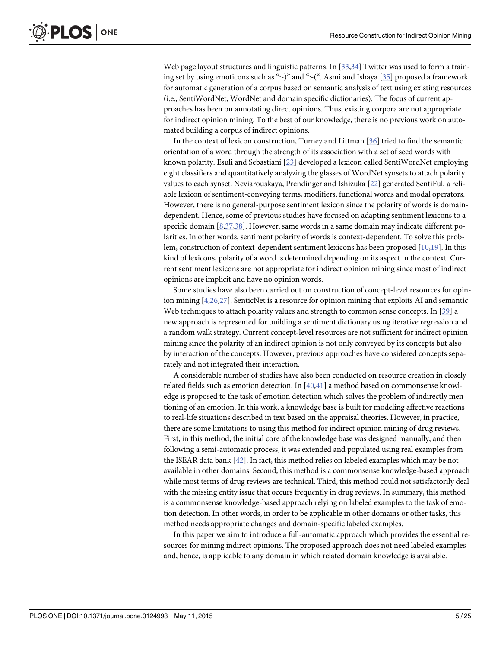<span id="page-4-0"></span>Web page layout structures and linguistic patterns. In  $[33,34]$  Twitter was used to form a training set by using emoticons such as ":-)" and ":-(". Asmi and Ishaya [\[35](#page-24-0)] proposed a framework for automatic generation of a corpus based on semantic analysis of text using existing resources (i.e., SentiWordNet, WordNet and domain specific dictionaries). The focus of current approaches has been on annotating direct opinions. Thus, existing corpora are not appropriate for indirect opinion mining. To the best of our knowledge, there is no previous work on automated building a corpus of indirect opinions.

In the context of lexicon construction, Turney and Littman [\[36\]](#page-24-0) tried to find the semantic orientation of a word through the strength of its association with a set of seed words with known polarity. Esuli and Sebastiani [[23](#page-23-0)] developed a lexicon called SentiWordNet employing eight classifiers and quantitatively analyzing the glasses of WordNet synsets to attach polarity values to each synset. Neviarouskaya, Prendinger and Ishizuka [[22](#page-23-0)] generated SentiFul, a reliable lexicon of sentiment-conveying terms, modifiers, functional words and modal operators. However, there is no general-purpose sentiment lexicon since the polarity of words is domaindependent. Hence, some of previous studies have focused on adapting sentiment lexicons to a specific domain [\[8](#page-23-0)[,37,38](#page-24-0)]. However, same words in a same domain may indicate different polarities. In other words, sentiment polarity of words is context-dependent. To solve this problem, construction of context-dependent sentiment lexicons has been proposed  $[10,19]$  $[10,19]$  $[10,19]$ . In this kind of lexicons, polarity of a word is determined depending on its aspect in the context. Current sentiment lexicons are not appropriate for indirect opinion mining since most of indirect opinions are implicit and have no opinion words.

Some studies have also been carried out on construction of concept-level resources for opinion mining [[4](#page-22-0),[26,27](#page-23-0)]. SenticNet is a resource for opinion mining that exploits AI and semantic Web techniques to attach polarity values and strength to common sense concepts. In  $[39]$  a new approach is represented for building a sentiment dictionary using iterative regression and a random walk strategy. Current concept-level resources are not sufficient for indirect opinion mining since the polarity of an indirect opinion is not only conveyed by its concepts but also by interaction of the concepts. However, previous approaches have considered concepts separately and not integrated their interaction.

A considerable number of studies have also been conducted on resource creation in closely related fields such as emotion detection. In [[40,41\]](#page-24-0) a method based on commonsense knowledge is proposed to the task of emotion detection which solves the problem of indirectly mentioning of an emotion. In this work, a knowledge base is built for modeling affective reactions to real-life situations described in text based on the appraisal theories. However, in practice, there are some limitations to using this method for indirect opinion mining of drug reviews. First, in this method, the initial core of the knowledge base was designed manually, and then following a semi-automatic process, it was extended and populated using real examples from the ISEAR data bank [\[42\]](#page-24-0). In fact, this method relies on labeled examples which may be not available in other domains. Second, this method is a commonsense knowledge-based approach while most terms of drug reviews are technical. Third, this method could not satisfactorily deal with the missing entity issue that occurs frequently in drug reviews. In summary, this method is a commonsense knowledge-based approach relying on labeled examples to the task of emotion detection. In other words, in order to be applicable in other domains or other tasks, this method needs appropriate changes and domain-specific labeled examples.

In this paper we aim to introduce a full-automatic approach which provides the essential resources for mining indirect opinions. The proposed approach does not need labeled examples and, hence, is applicable to any domain in which related domain knowledge is available.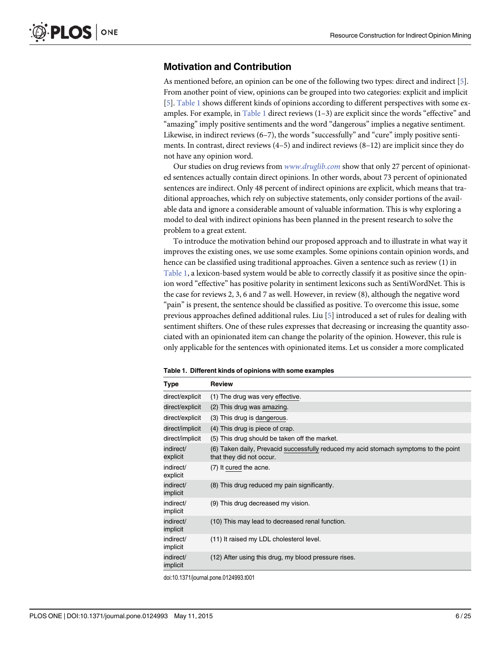## Motivation and Contribution

As mentioned before, an opinion can be one of the following two types: direct and indirect  $[5]$  $[5]$ . From another point of view, opinions can be grouped into two categories: explicit and implicit [\[5](#page-23-0)]. Table 1 shows different kinds of opinions according to different perspectives with some examples. For example, in Table 1 direct reviews  $(1-3)$  are explicit since the words "effective" and "amazing" imply positive sentiments and the word "dangerous" implies a negative sentiment. Likewise, in indirect reviews (6–7), the words "successfully" and "cure" imply positive sentiments. In contrast, direct reviews (4–5) and indirect reviews (8–12) are implicit since they do not have any opinion word.

Our studies on drug reviews from **[www.druglib.com](http://www.druglib.com/)** show that only 27 percent of opinionated sentences actually contain direct opinions. In other words, about 73 percent of opinionated sentences are indirect. Only 48 percent of indirect opinions are explicit, which means that traditional approaches, which rely on subjective statements, only consider portions of the available data and ignore a considerable amount of valuable information. This is why exploring a model to deal with indirect opinions has been planned in the present research to solve the problem to a great extent.

To introduce the motivation behind our proposed approach and to illustrate in what way it improves the existing ones, we use some examples. Some opinions contain opinion words, and hence can be classified using traditional approaches. Given a sentence such as review (1) in Table 1, a lexicon-based system would be able to correctly classify it as positive since the opinion word "effective" has positive polarity in sentiment lexicons such as SentiWordNet. This is the case for reviews 2, 3, 6 and 7 as well. However, in review (8), although the negative word "pain" is present, the sentence should be classified as positive. To overcome this issue, some previous approaches defined additional rules. Liu [\[5](#page-23-0)] introduced a set of rules for dealing with sentiment shifters. One of these rules expresses that decreasing or increasing the quantity associated with an opinionated item can change the polarity of the opinion. However, this rule is only applicable for the sentences with opinionated items. Let us consider a more complicated

#### Table 1. Different kinds of opinions with some examples

| Type                  | <b>Review</b>                                                                                                    |
|-----------------------|------------------------------------------------------------------------------------------------------------------|
| direct/explicit       | (1) The drug was very effective.                                                                                 |
| direct/explicit       | (2) This drug was amazing.                                                                                       |
| direct/explicit       | (3) This drug is dangerous.                                                                                      |
| direct/implicit       | (4) This drug is piece of crap.                                                                                  |
| direct/implicit       | (5) This drug should be taken off the market.                                                                    |
| indirect/<br>explicit | (6) Taken daily, Prevacid successfully reduced my acid stomach symptoms to the point<br>that they did not occur. |
| indirect/<br>explicit | (7) It cured the acne.                                                                                           |
| indirect/<br>implicit | (8) This drug reduced my pain significantly.                                                                     |
| indirect/<br>implicit | (9) This drug decreased my vision.                                                                               |
| indirect/<br>implicit | (10) This may lead to decreased renal function.                                                                  |
| indirect/<br>implicit | (11) It raised my LDL cholesterol level.                                                                         |
| indirect/<br>implicit | (12) After using this drug, my blood pressure rises.                                                             |

doi:10.1371/journal.pone.0124993.t001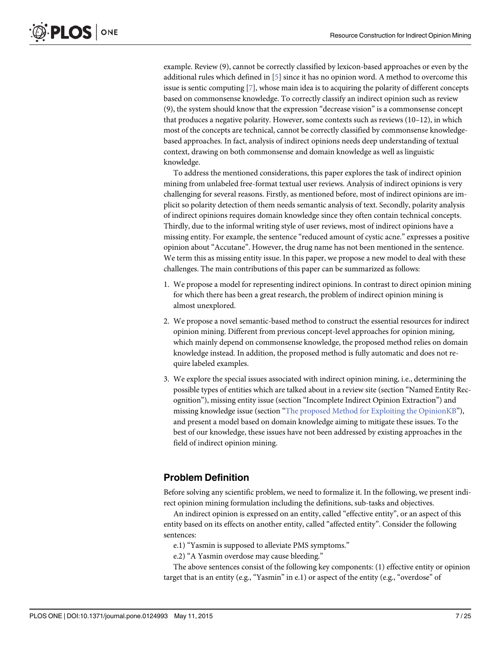example. Review (9), cannot be correctly classified by lexicon-based approaches or even by the additional rules which defined in  $[5]$  $[5]$  since it has no opinion word. A method to overcome this issue is sentic computing  $[7]$ , whose main idea is to acquiring the polarity of different concepts based on commonsense knowledge. To correctly classify an indirect opinion such as review (9), the system should know that the expression "decrease vision" is a commonsense concept that produces a negative polarity. However, some contexts such as reviews (10–12), in which most of the concepts are technical, cannot be correctly classified by commonsense knowledgebased approaches. In fact, analysis of indirect opinions needs deep understanding of textual context, drawing on both commonsense and domain knowledge as well as linguistic knowledge.

To address the mentioned considerations, this paper explores the task of indirect opinion mining from unlabeled free-format textual user reviews. Analysis of indirect opinions is very challenging for several reasons. Firstly, as mentioned before, most of indirect opinions are implicit so polarity detection of them needs semantic analysis of text. Secondly, polarity analysis of indirect opinions requires domain knowledge since they often contain technical concepts. Thirdly, due to the informal writing style of user reviews, most of indirect opinions have a missing entity. For example, the sentence "reduced amount of cystic acne." expresses a positive opinion about "Accutane". However, the drug name has not been mentioned in the sentence. We term this as missing entity issue. In this paper, we propose a new model to deal with these challenges. The main contributions of this paper can be summarized as follows:

- 1. We propose a model for representing indirect opinions. In contrast to direct opinion mining for which there has been a great research, the problem of indirect opinion mining is almost unexplored.
- 2. We propose a novel semantic-based method to construct the essential resources for indirect opinion mining. Different from previous concept-level approaches for opinion mining, which mainly depend on commonsense knowledge, the proposed method relies on domain knowledge instead. In addition, the proposed method is fully automatic and does not require labeled examples.
- 3. We explore the special issues associated with indirect opinion mining, i.e., determining the possible types of entities which are talked about in a review site (section "Named Entity Recognition"), missing entity issue (section "Incomplete Indirect Opinion Extraction") and missing knowledge issue (section "[The proposed Method for Exploiting the OpinionKB](#page-15-0)"), and present a model based on domain knowledge aiming to mitigate these issues. To the best of our knowledge, these issues have not been addressed by existing approaches in the field of indirect opinion mining.

## Problem Definition

Before solving any scientific problem, we need to formalize it. In the following, we present indirect opinion mining formulation including the definitions, sub-tasks and objectives.

An indirect opinion is expressed on an entity, called "effective entity", or an aspect of this entity based on its effects on another entity, called "affected entity". Consider the following sentences:

e.1) "Yasmin is supposed to alleviate PMS symptoms."

e.2) "A Yasmin overdose may cause bleeding."

The above sentences consist of the following key components: (1) effective entity or opinion target that is an entity (e.g., "Yasmin" in e.1) or aspect of the entity (e.g., "overdose" of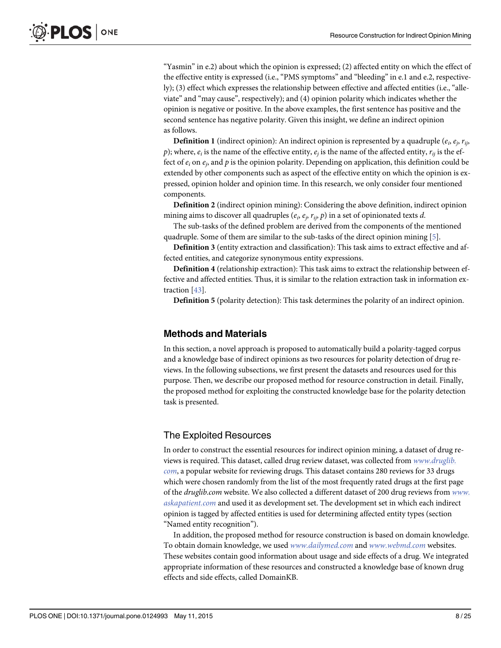<span id="page-7-0"></span>"Yasmin" in e.2) about which the opinion is expressed; (2) affected entity on which the effect of the effective entity is expressed (i.e., "PMS symptoms" and "bleeding" in e.1 and e.2, respectively); (3) effect which expresses the relationship between effective and affected entities (i.e., "alleviate" and "may cause", respectively); and (4) opinion polarity which indicates whether the opinion is negative or positive. In the above examples, the first sentence has positive and the second sentence has negative polarity. Given this insight, we define an indirect opinion as follows.

**Definition 1** (indirect opinion): An indirect opinion is represented by a quadruple ( $e_i$ ,  $e_j$ ,  $r_{ij}$ , p); where,  $e_i$  is the name of the effective entity,  $e_i$  is the name of the affected entity,  $r_{ii}$  is the effect of  $e_i$  on  $e_j$ , and p is the opinion polarity. Depending on application, this definition could be extended by other components such as aspect of the effective entity on which the opinion is expressed, opinion holder and opinion time. In this research, we only consider four mentioned components.

Definition 2 (indirect opinion mining): Considering the above definition, indirect opinion mining aims to discover all quadruples ( $e_i$ ,  $e_j$ ,  $r_{ij}$ ,  $p$ ) in a set of opinionated texts d.

The sub-tasks of the defined problem are derived from the components of the mentioned quadruple. Some of them are similar to the sub-tasks of the direct opinion mining [\[5](#page-23-0)].

Definition 3 (entity extraction and classification): This task aims to extract effective and affected entities, and categorize synonymous entity expressions.

Definition 4 (relationship extraction): This task aims to extract the relationship between effective and affected entities. Thus, it is similar to the relation extraction task in information extraction [[43\]](#page-24-0).

Definition 5 (polarity detection): This task determines the polarity of an indirect opinion.

#### Methods and Materials

In this section, a novel approach is proposed to automatically build a polarity-tagged corpus and a knowledge base of indirect opinions as two resources for polarity detection of drug reviews. In the following subsections, we first present the datasets and resources used for this purpose. Then, we describe our proposed method for resource construction in detail. Finally, the proposed method for exploiting the constructed knowledge base for the polarity detection task is presented.

## The Exploited Resources

In order to construct the essential resources for indirect opinion mining, a dataset of drug reviews is required. This dataset, called drug review dataset, was collected from [www.druglib.](http://www.druglib.com/) [com](http://www.druglib.com/), a popular website for reviewing drugs. This dataset contains 280 reviews for 33 drugs which were chosen randomly from the list of the most frequently rated drugs at the first page of the *druglib.com* website. We also collected a different dataset of 200 drug reviews from  $www.$ [askapatient.com](http://www.askapatient.com/) and used it as development set. The development set in which each indirect opinion is tagged by affected entities is used for determining affected entity types (section "Named entity recognition").

In addition, the proposed method for resource construction is based on domain knowledge. To obtain domain knowledge, we used [www.dailymed.com](http://www.dailymed.com/) and [www.webmd.com](http://www.webmd.com/) websites. These websites contain good information about usage and side effects of a drug. We integrated appropriate information of these resources and constructed a knowledge base of known drug effects and side effects, called DomainKB.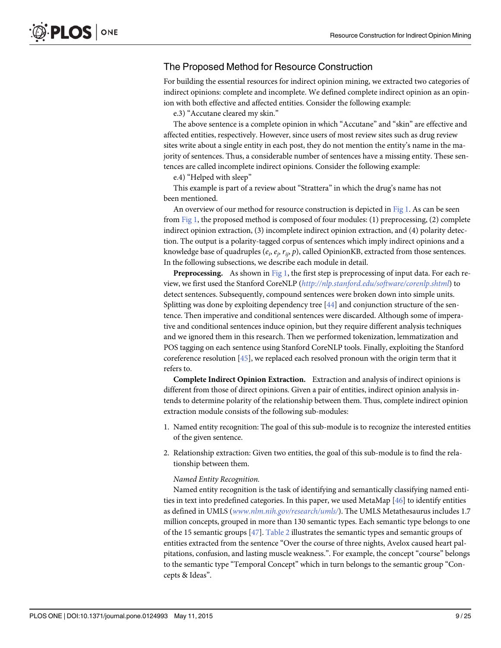## <span id="page-8-0"></span>The Proposed Method for Resource Construction

For building the essential resources for indirect opinion mining, we extracted two categories of indirect opinions: complete and incomplete. We defined complete indirect opinion as an opinion with both effective and affected entities. Consider the following example:

e.3) "Accutane cleared my skin."

The above sentence is a complete opinion in which "Accutane" and "skin" are effective and affected entities, respectively. However, since users of most review sites such as drug review sites write about a single entity in each post, they do not mention the entity's name in the majority of sentences. Thus, a considerable number of sentences have a missing entity. These sentences are called incomplete indirect opinions. Consider the following example:

e.4) "Helped with sleep"

This example is part of a review about "Strattera" in which the drug's name has not been mentioned.

An overview of our method for resource construction is depicted in [Fig 1.](#page-9-0) As can be seen from  $Fig 1$ , the proposed method is composed of four modules: (1) preprocessing, (2) complete indirect opinion extraction, (3) incomplete indirect opinion extraction, and (4) polarity detection. The output is a polarity-tagged corpus of sentences which imply indirect opinions and a knowledge base of quadruples ( $e_i$ ,  $e_j$ ,  $r_{ij}$ ,  $p$ ), called OpinionKB, extracted from those sentences. In the following subsections, we describe each module in detail.

Preprocessing. As shown in [Fig 1](#page-9-0), the first step is preprocessing of input data. For each review, we first used the Stanford CoreNLP (<http://nlp.stanford.edu/software/corenlp.shtml>) to detect sentences. Subsequently, compound sentences were broken down into simple units. Splitting was done by exploiting dependency tree  $[44]$  and conjunction structure of the sentence. Then imperative and conditional sentences were discarded. Although some of imperative and conditional sentences induce opinion, but they require different analysis techniques and we ignored them in this research. Then we performed tokenization, lemmatization and POS tagging on each sentence using Stanford CoreNLP tools. Finally, exploiting the Stanford coreference resolution  $[45]$  $[45]$  $[45]$ , we replaced each resolved pronoun with the origin term that it refers to.

Complete Indirect Opinion Extraction. Extraction and analysis of indirect opinions is different from those of direct opinions. Given a pair of entities, indirect opinion analysis intends to determine polarity of the relationship between them. Thus, complete indirect opinion extraction module consists of the following sub-modules:

- 1. Named entity recognition: The goal of this sub-module is to recognize the interested entities of the given sentence.
- 2. Relationship extraction: Given two entities, the goal of this sub-module is to find the relationship between them.

#### Named Entity Recognition.

Named entity recognition is the task of identifying and semantically classifying named entities in text into predefined categories. In this paper, we used MetaMap [[46](#page-24-0)] to identify entities as defined in UMLS ([www.nlm.nih.gov/research/umls/](http://www.nlm.nih.gov/research/umls/)). The UMLS Metathesaurus includes 1.7 million concepts, grouped in more than 130 semantic types. Each semantic type belongs to one of the 15 semantic groups  $[47]$ . [Table 2](#page-10-0) illustrates the semantic types and semantic groups of entities extracted from the sentence "Over the course of three nights, Avelox caused heart palpitations, confusion, and lasting muscle weakness.". For example, the concept "course" belongs to the semantic type "Temporal Concept" which in turn belongs to the semantic group "Concepts & Ideas".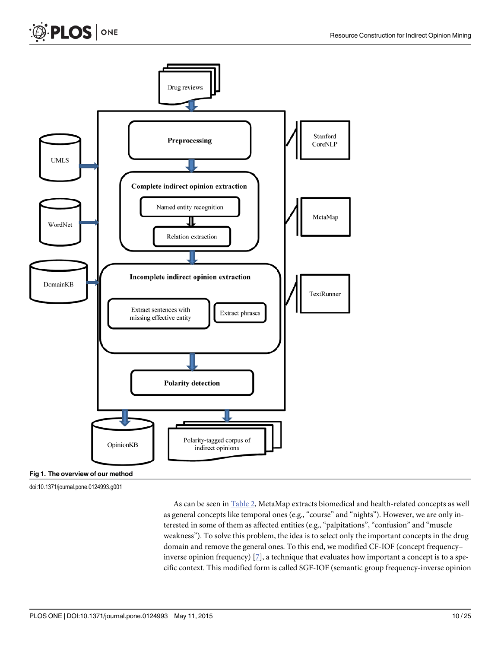<span id="page-9-0"></span>



[Fig 1. T](#page-8-0)he overview of our method

doi:10.1371/journal.pone.0124993.g001

As can be seen in [Table 2](#page-10-0), MetaMap extracts biomedical and health-related concepts as well as general concepts like temporal ones (e.g., "course" and "nights"). However, we are only interested in some of them as affected entities (e.g., "palpitations", "confusion" and "muscle weakness"). To solve this problem, the idea is to select only the important concepts in the drug domain and remove the general ones. To this end, we modified CF-IOF (concept frequency– inverse opinion frequency) [\[7](#page-23-0)], a technique that evaluates how important a concept is to a specific context. This modified form is called SGF-IOF (semantic group frequency-inverse opinion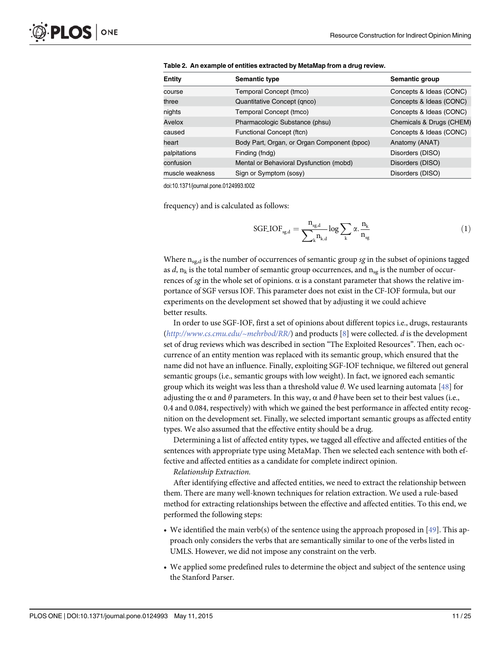| <b>Entity</b>   | Semantic type                               | Semantic group           |
|-----------------|---------------------------------------------|--------------------------|
| course          | Temporal Concept (tmco)                     | Concepts & Ideas (CONC)  |
| three           | Quantitative Concept (qnco)                 | Concepts & Ideas (CONC)  |
| nights          | Temporal Concept (tmco)                     | Concepts & Ideas (CONC)  |
| Avelox          | Pharmacologic Substance (phsu)              | Chemicals & Drugs (CHEM) |
| caused          | Functional Concept (ftcn)                   | Concepts & Ideas (CONC)  |
| heart           | Body Part, Organ, or Organ Component (bpoc) | Anatomy (ANAT)           |
| palpitations    | Finding (fndg)                              | Disorders (DISO)         |
| confusion       | Mental or Behavioral Dysfunction (mobd)     | Disorders (DISO)         |
| muscle weakness | Sign or Symptom (sosy)                      | Disorders (DISO)         |

<span id="page-10-0"></span>[Table 2.](#page-8-0) An example of entities extracted by MetaMap from a drug review.

doi:10.1371/journal.pone.0124993.t002

frequency) and is calculated as follows:

$$
SGEIOFsg,d = \frac{nsg,d}{\sum_{k} nk,d} log \sum_{k} \alpha \cdot \frac{nk}{nsg}
$$
 (1)

Where  $n_{sg,d}$  is the number of occurrences of semantic group  $sg$  in the subset of opinions tagged as  $d$ ,  $n_k$  is the total number of semantic group occurrences, and  $n_{sg}$  is the number of occurrences of sg in the whole set of opinions.  $α$  is a constant parameter that shows the relative importance of SGF versus IOF. This parameter does not exist in the CF-IOF formula, but our experiments on the development set showed that by adjusting it we could achieve better results.

In order to use SGF-IOF, first a set of opinions about different topics i.e., drugs, restaurants (<http://www.cs.cmu.edu/~mehrbod/RR/>) and products [[8](#page-23-0)] were collected. d is the development set of drug reviews which was described in section "The Exploited Resources". Then, each occurrence of an entity mention was replaced with its semantic group, which ensured that the name did not have an influence. Finally, exploiting SGF-IOF technique, we filtered out general semantic groups (i.e., semantic groups with low weight). In fact, we ignored each semantic group which its weight was less than a threshold value  $\theta$ . We used learning automata [\[48\]](#page-24-0) for adjusting the  $\alpha$  and  $\theta$  parameters. In this way,  $\alpha$  and  $\theta$  have been set to their best values (i.e., 0.4 and 0.084, respectively) with which we gained the best performance in affected entity recognition on the development set. Finally, we selected important semantic groups as affected entity types. We also assumed that the effective entity should be a drug.

Determining a list of affected entity types, we tagged all effective and affected entities of the sentences with appropriate type using MetaMap. Then we selected each sentence with both effective and affected entities as a candidate for complete indirect opinion.

Relationship Extraction.

After identifying effective and affected entities, we need to extract the relationship between them. There are many well-known techniques for relation extraction. We used a rule-based method for extracting relationships between the effective and affected entities. To this end, we performed the following steps:

- We identified the main verb(s) of the sentence using the approach proposed in  $[49]$  $[49]$  $[49]$ . This approach only considers the verbs that are semantically similar to one of the verbs listed in UMLS. However, we did not impose any constraint on the verb.
- We applied some predefined rules to determine the object and subject of the sentence using the Stanford Parser.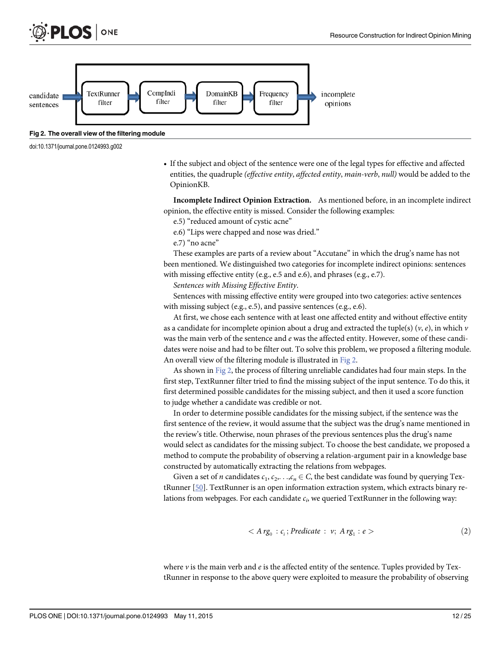<span id="page-11-0"></span>

Fig 2. The overall view of the filtering module

ONE

doi:10.1371/journal.pone.0124993.g002

• If the subject and object of the sentence were one of the legal types for effective and affected entities, the quadruple (effective entity, affected entity, main-verb, null) would be added to the OpinionKB.

Incomplete Indirect Opinion Extraction. As mentioned before, in an incomplete indirect opinion, the effective entity is missed. Consider the following examples:

e.5) "reduced amount of cystic acne"

- e.6) "Lips were chapped and nose was dried."
- e.7) "no acne"

These examples are parts of a review about "Accutane" in which the drug's name has not been mentioned. We distinguished two categories for incomplete indirect opinions: sentences with missing effective entity (e.g., e.5 and e.6), and phrases (e.g., e.7).

Sentences with Missing Effective Entity.

Sentences with missing effective entity were grouped into two categories: active sentences with missing subject (e.g., e.5), and passive sentences (e.g., e.6).

At first, we chose each sentence with at least one affected entity and without effective entity as a candidate for incomplete opinion about a drug and extracted the tuple(s) ( $v$ ,  $e$ ), in which  $v$ was the main verb of the sentence and  $e$  was the affected entity. However, some of these candidates were noise and had to be filter out. To solve this problem, we proposed a filtering module. An overall view of the filtering module is illustrated in Fig 2.

As shown in Fig 2, the process of filtering unreliable candidates had four main steps. In the first step, TextRunner filter tried to find the missing subject of the input sentence. To do this, it first determined possible candidates for the missing subject, and then it used a score function to judge whether a candidate was credible or not.

In order to determine possible candidates for the missing subject, if the sentence was the first sentence of the review, it would assume that the subject was the drug's name mentioned in the review's title. Otherwise, noun phrases of the previous sentences plus the drug's name would select as candidates for the missing subject. To choose the best candidate, we proposed a method to compute the probability of observing a relation-argument pair in a knowledge base constructed by automatically extracting the relations from webpages.

Given a set of *n* candidates  $c_1, c_2, \ldots, c_n \in C$ , the best candidate was found by querying TextRunner [[50](#page-24-0)]. TextRunner is an open information extraction system, which extracts binary relations from webpages. For each candidate  $c_i$ , we queried TextRunner in the following way:

$$
\langle A \, rg_0 : c_i ; \, Predictate : v; \, Arg_1 : e \rangle \tag{2}
$$

where  $\nu$  is the main verb and  $e$  is the affected entity of the sentence. Tuples provided by TextRunner in response to the above query were exploited to measure the probability of observing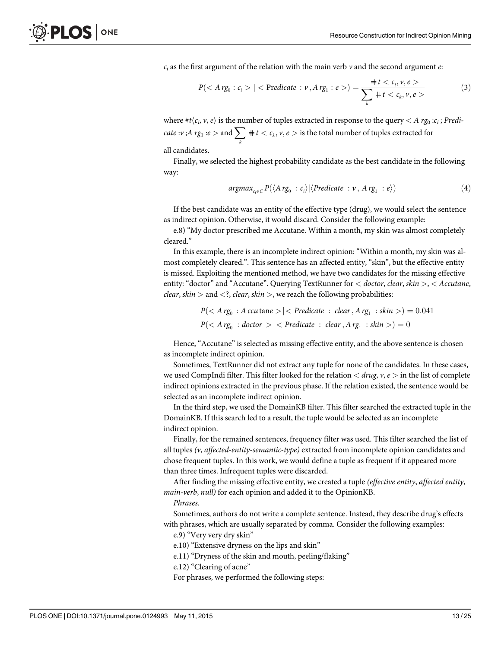$c_i$  as the first argument of the relation with the main verb  $\nu$  and the second argument  $e$ :

$$
P(|<\text{Predicter}: v, A\,rg_1: e>) = \frac{\#t < c_i, v, e>}{\sum_k \#t < c_k, v, e>} \tag{3}
$$

where  $\#t\langle c_i, v, e \rangle$  is the number of tuples extracted in response to the query  $\langle A \, r g_0 : c_i; Predi$ *cate :v ;A rg* $_{1}$  *:e*  $>$  *and*  $\sum$  $\#$  *t*  $<$  *c<sub>k</sub>,*  $v,e$  $>$  *is the total number of tuples extracted for* k

all candidates.

Finally, we selected the highest probability candidate as the best candidate in the following way:

$$
argmax_{c_i \in C} P(\langle Arg_0 : c_i \rangle | \langle Predictate : v, Arg_1 : e \rangle)
$$
\n(4)

If the best candidate was an entity of the effective type (drug), we would select the sentence as indirect opinion. Otherwise, it would discard. Consider the following example:

e.8) "My doctor prescribed me Accutane. Within a month, my skin was almost completely cleared."

In this example, there is an incomplete indirect opinion: "Within a month, my skin was almost completely cleared.". This sentence has an affected entity, "skin", but the effective entity is missed. Exploiting the mentioned method, we have two candidates for the missing effective entity: "doctor" and "Accutane". Querying TextRunner for < doctor, clear, skin >, < Accutane, *clear, skin*  $>$  and  $<$ ?, *clear, skin*  $>$ , we reach the following probabilities:

$$
P(< A\,r\,g_0 : A\,c\,\mu\,tane > | < Predictate : clear, A\,r\,g_1 : skin >) = 0.041
$$
\n
$$
P(< A\,r\,g_0 : doctor > | < Predictate : clear, A\,r\,g_1 : skin >) = 0
$$

Hence, "Accutane" is selected as missing effective entity, and the above sentence is chosen as incomplete indirect opinion.

Sometimes, TextRunner did not extract any tuple for none of the candidates. In these cases, we used CompIndi filter. This filter looked for the relation  $\langle d\tau u g, v, e \rangle$  in the list of complete indirect opinions extracted in the previous phase. If the relation existed, the sentence would be selected as an incomplete indirect opinion.

In the third step, we used the DomainKB filter. This filter searched the extracted tuple in the DomainKB. If this search led to a result, the tuple would be selected as an incomplete indirect opinion.

Finally, for the remained sentences, frequency filter was used. This filter searched the list of all tuples (v, affected-entity-semantic-type) extracted from incomplete opinion candidates and chose frequent tuples. In this work, we would define a tuple as frequent if it appeared more than three times. Infrequent tuples were discarded.

After finding the missing effective entity, we created a tuple (effective entity, affected entity, main-verb, null) for each opinion and added it to the OpinionKB.

Phrases.

Sometimes, authors do not write a complete sentence. Instead, they describe drug's effects with phrases, which are usually separated by comma. Consider the following examples:

e.9) "Very very dry skin"

e.10) "Extensive dryness on the lips and skin"

e.11) "Dryness of the skin and mouth, peeling/flaking"

e.12) "Clearing of acne"

For phrases, we performed the following steps: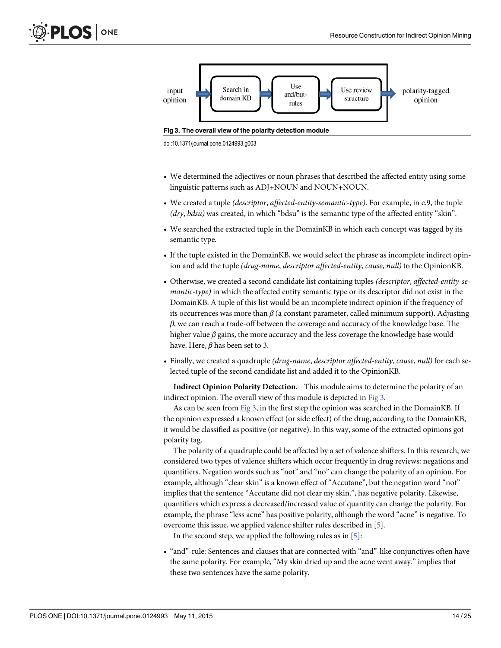<span id="page-13-0"></span>

Fig 3. The overall view of the polarity detection module

doi:10.1371/journal.pone.0124993.g003

- We determined the adjectives or noun phrases that described the affected entity using some linguistic patterns such as ADJ+NOUN and NOUN+NOUN.
- We created a tuple (descriptor, affected-entity-semantic-type). For example, in e.9, the tuple (dry, bdsu) was created, in which "bdsu" is the semantic type of the affected entity "skin".
- We searched the extracted tuple in the DomainKB in which each concept was tagged by its semantic type.
- If the tuple existed in the DomainKB, we would select the phrase as incomplete indirect opinion and add the tuple (drug-name, descriptor affected-entity, cause, null) to the OpinionKB.
- Otherwise, we created a second candidate list containing tuples (descriptor, affected-entity-semantic-type) in which the affected entity semantic type or its descriptor did not exist in the DomainKB. A tuple of this list would be an incomplete indirect opinion if the frequency of its occurrences was more than  $\beta$  (a constant parameter, called minimum support). Adjusting  $\beta$ , we can reach a trade-off between the coverage and accuracy of the knowledge base. The higher value  $\beta$  gains, the more accuracy and the less coverage the knowledge base would have. Here,  $\beta$  has been set to 3.
- Finally, we created a quadruple (drug-name, descriptor affected-entity, cause, null) for each selected tuple of the second candidate list and added it to the OpinionKB.

Indirect Opinion Polarity Detection. This module aims to determine the polarity of an indirect opinion. The overall view of this module is depicted in Fig 3.

As can be seen from  $Fig 3$ , in the first step the opinion was searched in the DomainKB. If the opinion expressed a known effect (or side effect) of the drug, according to the DomainKB, it would be classified as positive (or negative). In this way, some of the extracted opinions got polarity tag.

The polarity of a quadruple could be affected by a set of valence shifters. In this research, we considered two types of valence shifters which occur frequently in drug reviews: negations and quantifiers. Negation words such as "not" and "no" can change the polarity of an opinion. For example, although "clear skin" is a known effect of "Accutane", but the negation word "not" implies that the sentence "Accutane did not clear my skin.", has negative polarity. Likewise, quantifiers which express a decreased/increased value of quantity can change the polarity. For example, the phrase "less acne" has positive polarity, although the word "acne" is negative. To overcome this issue, we applied valence shifter rules described in [\[5](#page-23-0)].

In the second step, we applied the following rules as in  $[5]$ :

• "and"-rule: Sentences and clauses that are connected with "and"-like conjunctives often have the same polarity. For example, "My skin dried up and the acne went away." implies that these two sentences have the same polarity.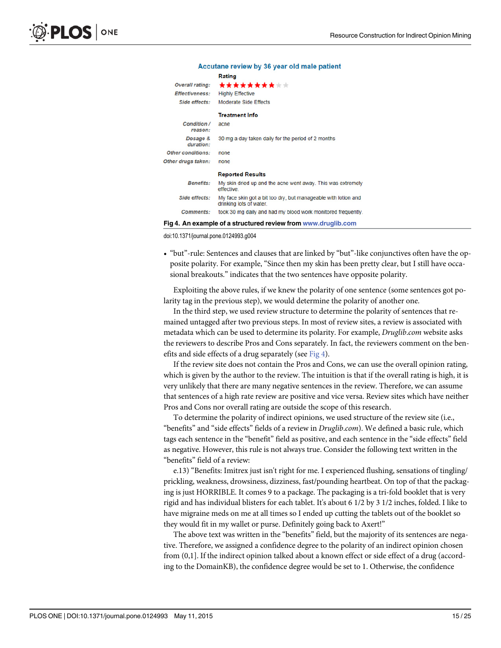|                          | Rating                                                                                    |
|--------------------------|-------------------------------------------------------------------------------------------|
| <b>Overall rating:</b>   | **********                                                                                |
| <b>Effectiveness:</b>    | <b>Highly Effective</b>                                                                   |
| Side effects:            | <b>Moderate Side Effects</b>                                                              |
|                          | <b>Treatment Info</b>                                                                     |
| Condition /<br>reason:   | acne                                                                                      |
| Dosage &<br>duration:    | 30 mg a day taken daily for the period of 2 months                                        |
| <b>Other conditions:</b> | none                                                                                      |
| Other drugs taken:       | none                                                                                      |
|                          | <b>Reported Results</b>                                                                   |
| <b>Benefits:</b>         | My skin dried up and the acne went away. This was extremely<br>effective.                 |
| Side effects:            | My face skin got a bit too dry, but manageable with lotion and<br>drinking lots of water. |
| Comments:                | took 30 mg daily and had my blood work monitored frequently.                              |
|                          | Fig 4. An example of a structured review from www.druglib.com                             |

#### Accutane review by 36 year old male patient

doi:10.1371/journal.pone.0124993.g004

• "but"-rule: Sentences and clauses that are linked by "but"-like conjunctives often have the opposite polarity. For example, "Since then my skin has been pretty clear, but I still have occasional breakouts." indicates that the two sentences have opposite polarity.

Exploiting the above rules, if we knew the polarity of one sentence (some sentences got polarity tag in the previous step), we would determine the polarity of another one.

In the third step, we used review structure to determine the polarity of sentences that remained untagged after two previous steps. In most of review sites, a review is associated with metadata which can be used to determine its polarity. For example, Druglib.com website asks the reviewers to describe Pros and Cons separately. In fact, the reviewers comment on the benefits and side effects of a drug separately (see Fig 4).

If the review site does not contain the Pros and Cons, we can use the overall opinion rating, which is given by the author to the review. The intuition is that if the overall rating is high, it is very unlikely that there are many negative sentences in the review. Therefore, we can assume that sentences of a high rate review are positive and vice versa. Review sites which have neither Pros and Cons nor overall rating are outside the scope of this research.

To determine the polarity of indirect opinions, we used structure of the review site (i.e., "benefits" and "side effects" fields of a review in Druglib.com). We defined a basic rule, which tags each sentence in the "benefit" field as positive, and each sentence in the "side effects" field as negative. However, this rule is not always true. Consider the following text written in the "benefits" field of a review:

e.13) "Benefits: Imitrex just isn't right for me. I experienced flushing, sensations of tingling/ prickling, weakness, drowsiness, dizziness, fast/pounding heartbeat. On top of that the packaging is just HORRIBLE. It comes 9 to a package. The packaging is a tri-fold booklet that is very rigid and has individual blisters for each tablet. It's about 6 1/2 by 3 1/2 inches, folded. I like to have migraine meds on me at all times so I ended up cutting the tablets out of the booklet so they would fit in my wallet or purse. Definitely going back to Axert!"

The above text was written in the "benefits" field, but the majority of its sentences are negative. Therefore, we assigned a confidence degree to the polarity of an indirect opinion chosen from (0,1]. If the indirect opinion talked about a known effect or side effect of a drug (according to the DomainKB), the confidence degree would be set to 1. Otherwise, the confidence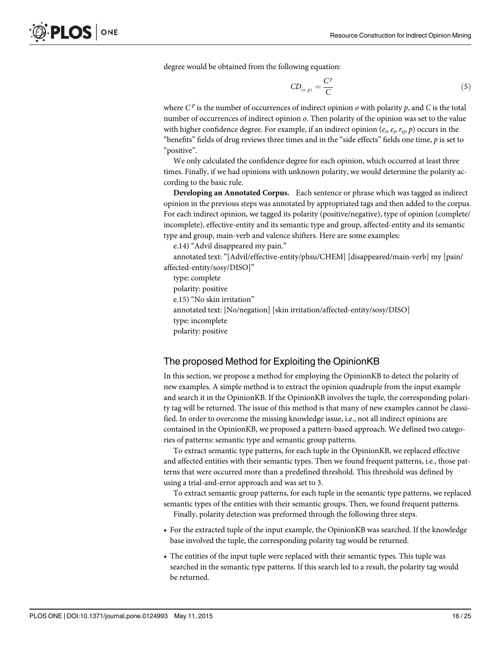<span id="page-15-0"></span>degree would be obtained from the following equation:

$$
CD_{(o,p)} = \frac{C^p}{C}
$$
\n<sup>(5)</sup>

where  $C<sup>p</sup>$  is the number of occurrences of indirect opinion *o* with polarity *p*, and *C* is the total number of occurrences of indirect opinion o. Then polarity of the opinion was set to the value with higher confidence degree. For example, if an indirect opinion  $(e_i, e_j, r_{ii}, p)$  occurs in the "benefits" fields of drug reviews three times and in the "side effects" fields one time, p is set to "positive".

We only calculated the confidence degree for each opinion, which occurred at least three times. Finally, if we had opinions with unknown polarity, we would determine the polarity according to the basic rule.

Developing an Annotated Corpus. Each sentence or phrase which was tagged as indirect opinion in the previous steps was annotated by appropriated tags and then added to the corpus. For each indirect opinion, we tagged its polarity (positive/negative), type of opinion (complete/ incomplete), effective-entity and its semantic type and group, affected-entity and its semantic type and group, main-verb and valence shifters. Here are some examples:

e.14) "Advil disappeared my pain."

annotated text: "[Advil/effective-entity/phsu/CHEM] [disappeared/main-verb] my [pain/ affected-entity/sosy/DISO]"

type: complete polarity: positive e.15) "No skin irritation" annotated text: [No/negation] [skin irritation/affected-entity/sosy/DISO] type: incomplete polarity: positive

### The proposed Method for Exploiting the OpinionKB

In this section, we propose a method for employing the OpinionKB to detect the polarity of new examples. A simple method is to extract the opinion quadruple from the input example and search it in the OpinionKB. If the OpinionKB involves the tuple, the corresponding polarity tag will be returned. The issue of this method is that many of new examples cannot be classified. In order to overcome the missing knowledge issue, i.e., not all indirect opinions are contained in the OpinionKB, we proposed a pattern-based approach. We defined two categories of patterns: semantic type and semantic group patterns.

To extract semantic type patterns, for each tuple in the OpinionKB, we replaced effective and affected entities with their semantic types. Then we found frequent patterns, i.e., those patterns that were occurred more than a predefined threshold. This threshold was defined by using a trial-and-error approach and was set to 3.

To extract semantic group patterns, for each tuple in the semantic type patterns, we replaced semantic types of the entities with their semantic groups. Then, we found frequent patterns.

Finally, polarity detection was preformed through the following three steps.

- For the extracted tuple of the input example, the OpinionKB was searched. If the knowledge base involved the tuple, the corresponding polarity tag would be returned.
- The entities of the input tuple were replaced with their semantic types. This tuple was searched in the semantic type patterns. If this search led to a result, the polarity tag would be returned.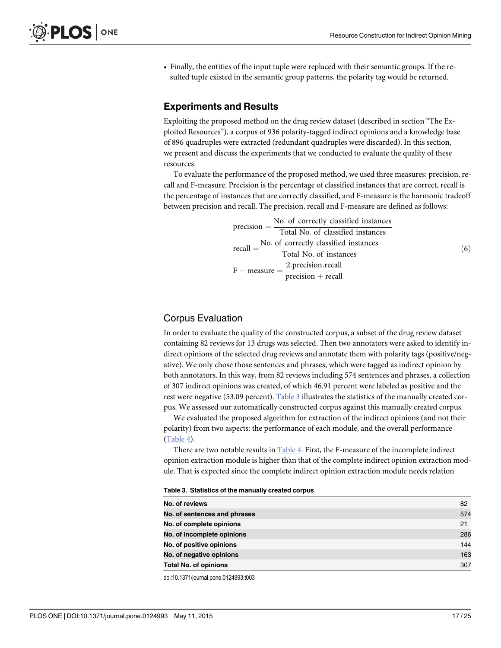<span id="page-16-0"></span>• Finally, the entities of the input tuple were replaced with their semantic groups. If the resulted tuple existed in the semantic group patterns, the polarity tag would be returned.

#### Experiments and Results

Exploiting the proposed method on the drug review dataset (described in section "The Exploited Resources"), a corpus of 936 polarity-tagged indirect opinions and a knowledge base of 896 quadruples were extracted (redundant quadruples were discarded). In this section, we present and discuss the experiments that we conducted to evaluate the quality of these resources.

To evaluate the performance of the proposed method, we used three measures: precision, recall and F-measure. Precision is the percentage of classified instances that are correct, recall is the percentage of instances that are correctly classified, and F-measure is the harmonic tradeoff between precision and recall. The precision, recall and F-measure are defined as follows:

$$
precision = \frac{No. of correctly classified instances}{Total No. of classified instances}
$$
  
recall = 
$$
\frac{No. of correctly classified instances}{Total No. of instances}
$$
  
F – measure = 
$$
\frac{2.precision.read}{precision + recall}
$$
 (6)

#### Corpus Evaluation

In order to evaluate the quality of the constructed corpus, a subset of the drug review dataset containing 82 reviews for 13 drugs was selected. Then two annotators were asked to identify indirect opinions of the selected drug reviews and annotate them with polarity tags (positive/negative). We only chose those sentences and phrases, which were tagged as indirect opinion by both annotators. In this way, from 82 reviews including 574 sentences and phrases, a collection of 307 indirect opinions was created, of which 46.91 percent were labeled as positive and the rest were negative (53.09 percent). Table 3 illustrates the statistics of the manually created corpus. We assessed our automatically constructed corpus against this manually created corpus.

We evaluated the proposed algorithm for extraction of the indirect opinions (and not their polarity) from two aspects: the performance of each module, and the overall performance [\(Table 4\)](#page-17-0).

There are two notable results in [Table 4](#page-17-0). First, the F-measure of the incomplete indirect opinion extraction module is higher than that of the complete indirect opinion extraction module. That is expected since the complete indirect opinion extraction module needs relation

|  | Table 3. Statistics of the manually created corpus |  |  |  |
|--|----------------------------------------------------|--|--|--|
|--|----------------------------------------------------|--|--|--|

| No. of incomplete opinions   | 286 |
|------------------------------|-----|
| No. of positive opinions     | 144 |
| No. of negative opinions     | 163 |
| <b>Total No. of opinions</b> | 307 |

doi:10.1371/journal.pone.0124993.t003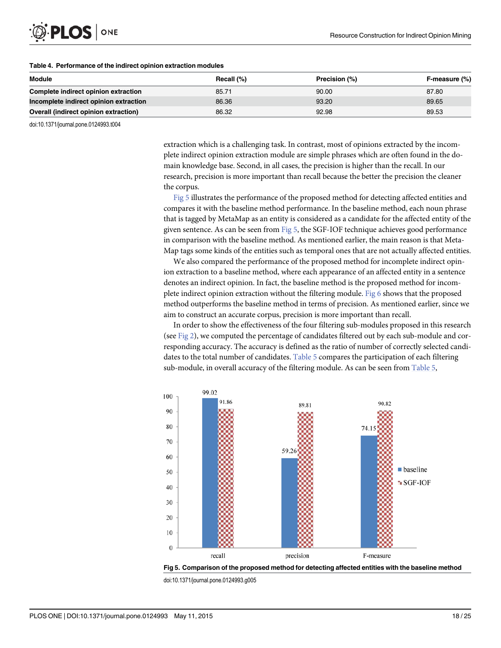<span id="page-17-0"></span>

| Module                                 | Recall (%) | Precision (%) | F-measure (%) |
|----------------------------------------|------------|---------------|---------------|
| Complete indirect opinion extraction   | 85.71      | 90.00         | 87.80         |
| Incomplete indirect opinion extraction | 86.36      | 93.20         | 89.65         |
| Overall (indirect opinion extraction)  | 86.32      | 92.98         | 89.53         |

#### [Table 4.](#page-16-0) Performance of the indirect opinion extraction modules

doi:10.1371/journal.pone.0124993.t004

extraction which is a challenging task. In contrast, most of opinions extracted by the incomplete indirect opinion extraction module are simple phrases which are often found in the domain knowledge base. Second, in all cases, the precision is higher than the recall. In our research, precision is more important than recall because the better the precision the cleaner the corpus.

Fig 5 illustrates the performance of the proposed method for detecting affected entities and compares it with the baseline method performance. In the baseline method, each noun phrase that is tagged by MetaMap as an entity is considered as a candidate for the affected entity of the given sentence. As can be seen from Fig 5, the SGF-IOF technique achieves good performance in comparison with the baseline method. As mentioned earlier, the main reason is that Meta-Map tags some kinds of the entities such as temporal ones that are not actually affected entities.

We also compared the performance of the proposed method for incomplete indirect opinion extraction to a baseline method, where each appearance of an affected entity in a sentence denotes an indirect opinion. In fact, the baseline method is the proposed method for incomplete indirect opinion extraction without the filtering module. [Fig 6](#page-18-0) shows that the proposed method outperforms the baseline method in terms of precision. As mentioned earlier, since we aim to construct an accurate corpus, precision is more important than recall.

In order to show the effectiveness of the four filtering sub-modules proposed in this research (see  $Fig 2$ ), we computed the percentage of candidates filtered out by each sub-module and corresponding accuracy. The accuracy is defined as the ratio of number of correctly selected candidates to the total number of candidates. [Table 5](#page-18-0) compares the participation of each filtering sub-module, in overall accuracy of the filtering module. As can be seen from [Table 5](#page-18-0),





doi:10.1371/journal.pone.0124993.g005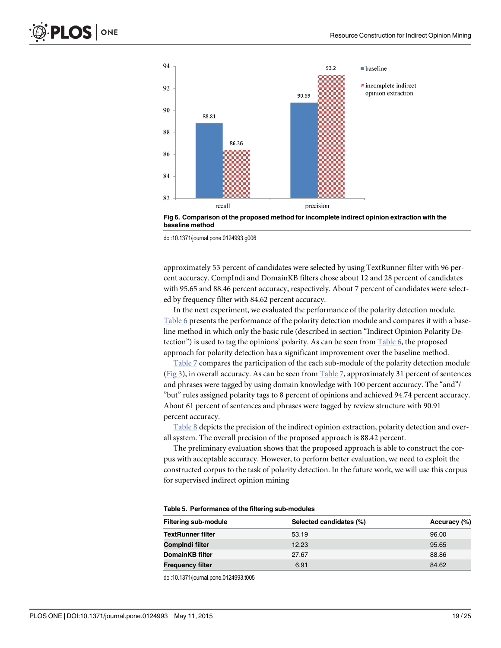<span id="page-18-0"></span>

[Fig 6. C](#page-17-0)omparison of the proposed method for incomplete indirect opinion extraction with the baseline method

doi:10.1371/journal.pone.0124993.g006

approximately 53 percent of candidates were selected by using TextRunner filter with 96 percent accuracy. CompIndi and DomainKB filters chose about 12 and 28 percent of candidates with 95.65 and 88.46 percent accuracy, respectively. About 7 percent of candidates were selected by frequency filter with 84.62 percent accuracy.

In the next experiment, we evaluated the performance of the polarity detection module. [Table 6](#page-19-0) presents the performance of the polarity detection module and compares it with a baseline method in which only the basic rule (described in section "Indirect Opinion Polarity Detection") is used to tag the opinions' polarity. As can be seen from  $Table 6$ , the proposed approach for polarity detection has a significant improvement over the baseline method.

[Table 7](#page-19-0) compares the participation of the each sub-module of the polarity detection module [\(Fig 3\)](#page-13-0), in overall accuracy. As can be seen from [Table 7](#page-19-0), approximately 31 percent of sentences and phrases were tagged by using domain knowledge with 100 percent accuracy. The "and"/ "but" rules assigned polarity tags to 8 percent of opinions and achieved 94.74 percent accuracy. About 61 percent of sentences and phrases were tagged by review structure with 90.91 percent accuracy.

[Table 8](#page-19-0) depicts the precision of the indirect opinion extraction, polarity detection and overall system. The overall precision of the proposed approach is 88.42 percent.

The preliminary evaluation shows that the proposed approach is able to construct the corpus with acceptable accuracy. However, to perform better evaluation, we need to exploit the constructed corpus to the task of polarity detection. In the future work, we will use this corpus for supervised indirect opinion mining

#### [Table 5.](#page-17-0) Performance of the filtering sub-modules

| <b>Filtering sub-module</b> | Selected candidates (%) | Accuracy (%) |
|-----------------------------|-------------------------|--------------|
| <b>TextRunner filter</b>    | 53.19                   | 96.00        |
| Complndi filter             | 12.23                   | 95.65        |
| DomainKB filter             | 27.67                   | 88.86        |
| <b>Frequency filter</b>     | 6.91                    | 84.62        |

doi:10.1371/journal.pone.0124993.t005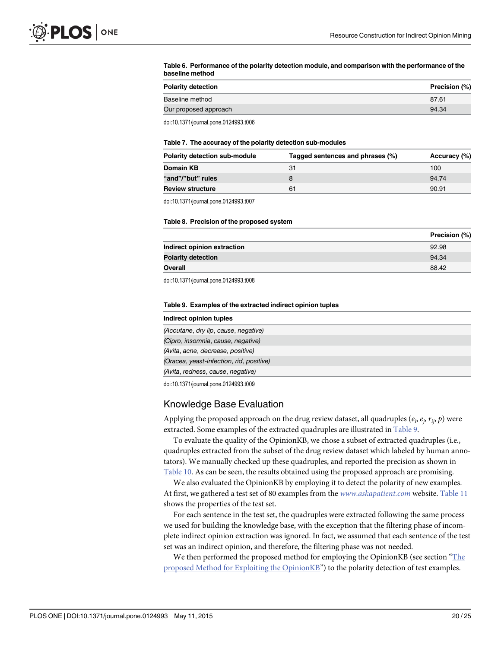Precision (%)

#### <span id="page-19-0"></span>[Table 6.](#page-18-0) Performance of the polarity detection module, and comparison with the performance of the baseline method

| <b>Polarity detection</b> | Precision (%) |
|---------------------------|---------------|
| Baseline method           | 87.61         |
| Our proposed approach     | 94.34         |

doi:10.1371/journal.pone.0124993.t006

#### [Table 7.](#page-18-0) The accuracy of the polarity detection sub-modules

| <b>Polarity detection sub-module</b> | Tagged sentences and phrases (%) | Accuracy (%) |
|--------------------------------------|----------------------------------|--------------|
| Domain KB                            | 31                               | 100          |
| "and"/"but" rules                    |                                  | 94.74        |
| <b>Review structure</b>              | 61                               | 90.91        |

doi:10.1371/journal.pone.0124993.t007

#### [Table 8.](#page-18-0) Precision of the proposed system

|                             | 1100191011 (70) |
|-----------------------------|-----------------|
| Indirect opinion extraction | 92.98           |
| <b>Polarity detection</b>   | 94.34           |
| Overall                     | 88.42           |
|                             |                 |

doi:10.1371/journal.pone.0124993.t008

#### Table 9. Examples of the extracted indirect opinion tuples

| Indirect opinion tuples                  |
|------------------------------------------|
| (Accutane, dry lip, cause, negative)     |
| (Cipro, insomnia, cause, negative)       |
| (Avita, acne, decrease, positive)        |
| (Oracea, yeast-infection, rid, positive) |
| (Avita, redness, cause, negative)        |

doi:10.1371/journal.pone.0124993.t009

## Knowledge Base Evaluation

Applying the proposed approach on the drug review dataset, all quadruples ( $e_i$ ,  $e_j$ ,  $r_{ij}$ ,  $p$ ) were extracted. Some examples of the extracted quadruples are illustrated in Table 9.

To evaluate the quality of the OpinionKB, we chose a subset of extracted quadruples (i.e., quadruples extracted from the subset of the drug review dataset which labeled by human annotators). We manually checked up these quadruples, and reported the precision as shown in [Table 10](#page-20-0). As can be seen, the results obtained using the proposed approach are promising.

We also evaluated the OpinionKB by employing it to detect the polarity of new examples. At first, we gathered a test set of 80 examples from the [www.askapatient.com](http://www.askapatient.com/) website. [Table 11](#page-20-0) shows the properties of the test set.

For each sentence in the test set, the quadruples were extracted following the same process we used for building the knowledge base, with the exception that the filtering phase of incomplete indirect opinion extraction was ignored. In fact, we assumed that each sentence of the test set was an indirect opinion, and therefore, the filtering phase was not needed.

We then performed the proposed method for employing the OpinionKB (see section "[The](#page-15-0) [proposed Method for Exploiting the OpinionKB](#page-15-0)") to the polarity detection of test examples.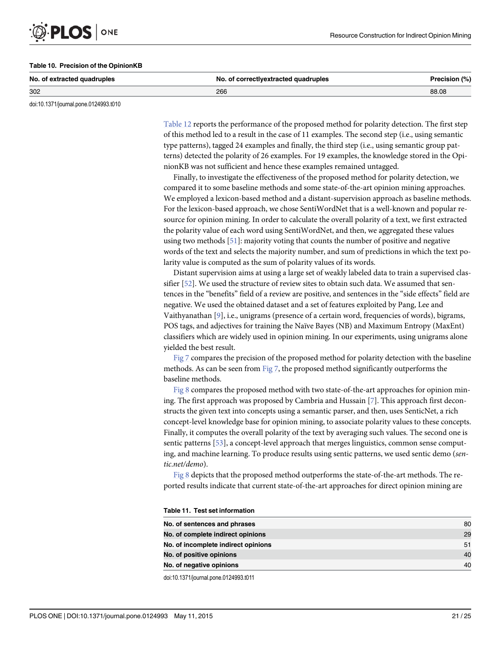<span id="page-20-0"></span>

#### [Table 10.](#page-19-0) Precision of the OpinionKB

| No. of correctly extracted quadruples | Precision (%) |
|---------------------------------------|---------------|
| 266                                   | 88.08         |
|                                       |               |

doi:10.1371/journal.pone.0124993.t010

[Table 12](#page-21-0) reports the performance of the proposed method for polarity detection. The first step of this method led to a result in the case of 11 examples. The second step (i.e., using semantic type patterns), tagged 24 examples and finally, the third step (i.e., using semantic group patterns) detected the polarity of 26 examples. For 19 examples, the knowledge stored in the OpinionKB was not sufficient and hence these examples remained untagged.

Finally, to investigate the effectiveness of the proposed method for polarity detection, we compared it to some baseline methods and some state-of-the-art opinion mining approaches. We employed a lexicon-based method and a distant-supervision approach as baseline methods. For the lexicon-based approach, we chose SentiWordNet that is a well-known and popular resource for opinion mining. In order to calculate the overall polarity of a text, we first extracted the polarity value of each word using SentiWordNet, and then, we aggregated these values using two methods [[51](#page-24-0)]: majority voting that counts the number of positive and negative words of the text and selects the majority number, and sum of predictions in which the text polarity value is computed as the sum of polarity values of its words.

Distant supervision aims at using a large set of weakly labeled data to train a supervised classifier  $[52]$ . We used the structure of review sites to obtain such data. We assumed that sentences in the "benefits" field of a review are positive, and sentences in the "side effects" field are negative. We used the obtained dataset and a set of features exploited by Pang, Lee and Vaithyanathan [[9\]](#page-23-0), i.e., unigrams (presence of a certain word, frequencies of words), bigrams, POS tags, and adjectives for training the Naïve Bayes (NB) and Maximum Entropy (MaxEnt) classifiers which are widely used in opinion mining. In our experiments, using unigrams alone yielded the best result.

[Fig 7](#page-21-0) compares the precision of the proposed method for polarity detection with the baseline methods. As can be seen from  $Fig 7$ , the proposed method significantly outperforms the baseline methods.

[Fig 8](#page-21-0) compares the proposed method with two state-of-the-art approaches for opinion mining. The first approach was proposed by Cambria and Hussain [[7\]](#page-23-0). This approach first deconstructs the given text into concepts using a semantic parser, and then, uses SenticNet, a rich concept-level knowledge base for opinion mining, to associate polarity values to these concepts. Finally, it computes the overall polarity of the text by averaging such values. The second one is sentic patterns [\[53](#page-24-0)], a concept-level approach that merges linguistics, common sense computing, and machine learning. To produce results using sentic patterns, we used sentic demo (sentic.net/demo).

[Fig 8](#page-21-0) depicts that the proposed method outperforms the state-of-the-art methods. The reported results indicate that current state-of-the-art approaches for direct opinion mining are

[Table 11.](#page-19-0) Test set information

| No. of sentences and phrases        | 80 |
|-------------------------------------|----|
| No. of complete indirect opinions   | 29 |
| No. of incomplete indirect opinions | 51 |
| No. of positive opinions            | 40 |
| No. of negative opinions            | 40 |
|                                     |    |

doi:10.1371/journal.pone.0124993.t011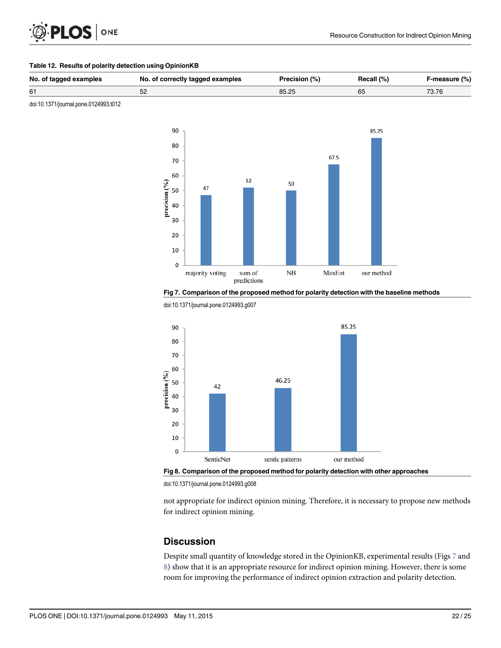<span id="page-21-0"></span>

#### [Table 12.](#page-19-0) Results of polarity detection using OpinionKB

| No. of tagged examples                | No. of correctly tagged examples | Precision (%) | Recall (%) | F-measure (%) |
|---------------------------------------|----------------------------------|---------------|------------|---------------|
| 61                                    |                                  | 85.25         | 65         | 73.76         |
| doi:10 1271/journal nono 012/002 t012 |                                  |               |            |               |

doi:10.1371/journal.pone.0124993.t012





doi:10.1371/journal.pone.0124993.g007





doi:10.1371/journal.pone.0124993.g008

not appropriate for indirect opinion mining. Therefore, it is necessary to propose new methods for indirect opinion mining.

## **Discussion**

Despite small quantity of knowledge stored in the OpinionKB, experimental results (Figs 7 and 8) show that it is an appropriate resource for indirect opinion mining. However, there is some room for improving the performance of indirect opinion extraction and polarity detection.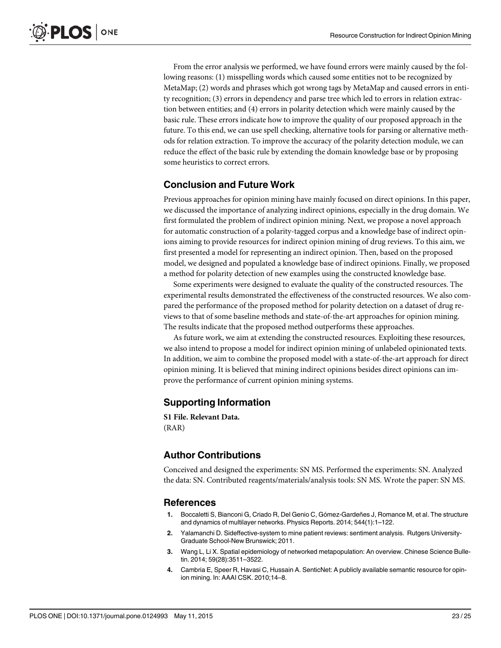<span id="page-22-0"></span>From the error analysis we performed, we have found errors were mainly caused by the following reasons: (1) misspelling words which caused some entities not to be recognized by MetaMap; (2) words and phrases which got wrong tags by MetaMap and caused errors in entity recognition; (3) errors in dependency and parse tree which led to errors in relation extraction between entities; and (4) errors in polarity detection which were mainly caused by the basic rule. These errors indicate how to improve the quality of our proposed approach in the future. To this end, we can use spell checking, alternative tools for parsing or alternative methods for relation extraction. To improve the accuracy of the polarity detection module, we can reduce the effect of the basic rule by extending the domain knowledge base or by proposing some heuristics to correct errors.

## Conclusion and Future Work

Previous approaches for opinion mining have mainly focused on direct opinions. In this paper, we discussed the importance of analyzing indirect opinions, especially in the drug domain. We first formulated the problem of indirect opinion mining. Next, we propose a novel approach for automatic construction of a polarity-tagged corpus and a knowledge base of indirect opinions aiming to provide resources for indirect opinion mining of drug reviews. To this aim, we first presented a model for representing an indirect opinion. Then, based on the proposed model, we designed and populated a knowledge base of indirect opinions. Finally, we proposed a method for polarity detection of new examples using the constructed knowledge base.

Some experiments were designed to evaluate the quality of the constructed resources. The experimental results demonstrated the effectiveness of the constructed resources. We also compared the performance of the proposed method for polarity detection on a dataset of drug reviews to that of some baseline methods and state-of-the-art approaches for opinion mining. The results indicate that the proposed method outperforms these approaches.

As future work, we aim at extending the constructed resources. Exploiting these resources, we also intend to propose a model for indirect opinion mining of unlabeled opinionated texts. In addition, we aim to combine the proposed model with a state-of-the-art approach for direct opinion mining. It is believed that mining indirect opinions besides direct opinions can improve the performance of current opinion mining systems.

### Supporting Information

[S1 File.](http://www.plosone.org/article/fetchSingleRepresentation.action?uri=info:doi/10.1371/journal.pone.0124993.s001) Relevant Data. (RAR)

## Author Contributions

Conceived and designed the experiments: SN MS. Performed the experiments: SN. Analyzed the data: SN. Contributed reagents/materials/analysis tools: SN MS. Wrote the paper: SN MS.

#### References

- [1.](#page-0-0) Boccaletti S, Bianconi G, Criado R, Del Genio C, Gómez-Gardeñes J, Romance M, et al. The structure and dynamics of multilayer networks. Physics Reports. 2014; 544(1):1–122.
- [2.](#page-0-0) Yalamanchi D. Sideffective-system to mine patient reviews: sentiment analysis. Rutgers University-Graduate School-New Brunswick; 2011.
- [3.](#page-0-0) Wang L, Li X. Spatial epidemiology of networked metapopulation: An overview. Chinese Science Bulletin. 2014; 59(28):3511–3522.
- [4.](#page-1-0) Cambria E, Speer R, Havasi C, Hussain A. SenticNet: A publicly available semantic resource for opinion mining. In: AAAI CSK. 2010;14–8.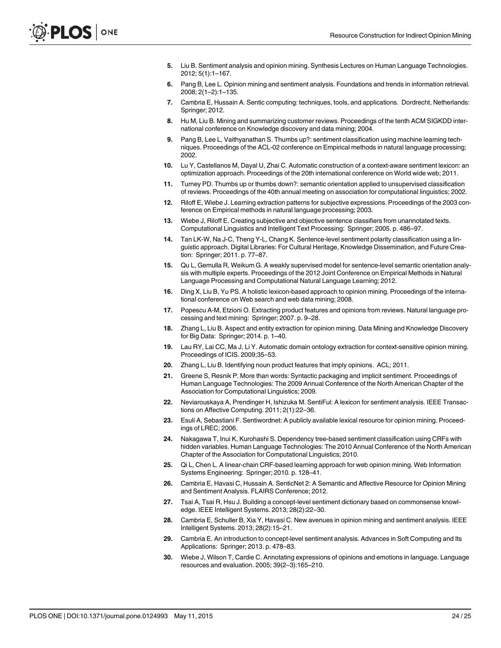- <span id="page-23-0"></span>[5.](#page-1-0) Liu B. Sentiment analysis and opinion mining. Synthesis Lectures on Human Language Technologies. 2012; 5(1):1–167.
- [6.](#page-2-0) Pang B, Lee L. Opinion mining and sentiment analysis. Foundations and trends in information retrieval. 2008; 2(1–2):1–135.
- [7.](#page-2-0) Cambria E, Hussain A. Sentic computing: techniques, tools, and applications. Dordrecht, Netherlands: Springer; 2012.
- [8.](#page-2-0) Hu M, Liu B. Mining and summarizing customer reviews. Proceedings of the tenth ACM SIGKDD international conference on Knowledge discovery and data mining; 2004.
- [9.](#page-2-0) Pang B, Lee L, Vaithyanathan S. Thumbs up?: sentiment classification using machine learning techniques. Proceedings of the ACL-02 conference on Empirical methods in natural language processing; 2002.
- [10.](#page-2-0) Lu Y, Castellanos M, Dayal U, Zhai C. Automatic construction of a context-aware sentiment lexicon: an optimization approach. Proceedings of the 20th international conference on World wide web; 2011.
- [11.](#page-2-0) Turney PD. Thumbs up or thumbs down?: semantic orientation applied to unsupervised classification of reviews. Proceedings of the 40th annual meeting on association for computational linguistics; 2002.
- [12.](#page-2-0) Riloff E, Wiebe J. Learning extraction patterns for subjective expressions. Proceedings of the 2003 conference on Empirical methods in natural language processing; 2003.
- [13.](#page-2-0) Wiebe J, Riloff E. Creating subjective and objective sentence classifiers from unannotated texts. Computational Linguistics and Intelligent Text Processing: Springer; 2005. p. 486–97.
- [14.](#page-2-0) Tan LK-W, Na J-C, Theng Y-L, Chang K. Sentence-level sentiment polarity classification using a linguistic approach. Digital Libraries: For Cultural Heritage, Knowledge Dissemination, and Future Creation: Springer; 2011. p. 77–87.
- [15.](#page-2-0) Qu L, Gemulla R, Weikum G. A weakly supervised model for sentence-level semantic orientation analysis with multiple experts. Proceedings of the 2012 Joint Conference on Empirical Methods in Natural Language Processing and Computational Natural Language Learning; 2012.
- [16.](#page-2-0) Ding X, Liu B, Yu PS. A holistic lexicon-based approach to opinion mining. Proceedings of the international conference on Web search and web data mining; 2008.
- [17.](#page-2-0) Popescu A-M, Etzioni O. Extracting product features and opinions from reviews. Natural language processing and text mining: Springer; 2007. p. 9–28.
- [18.](#page-2-0) Zhang L, Liu B. Aspect and entity extraction for opinion mining. Data Mining and Knowledge Discovery for Big Data: Springer; 2014. p. 1–40.
- [19.](#page-2-0) Lau RY, Lai CC, Ma J, Li Y. Automatic domain ontology extraction for context-sensitive opinion mining. Proceedings of ICIS. 2009;35–53.
- [20.](#page-2-0) Zhang L, Liu B. Identifying noun product features that imply opinions. ACL; 2011.
- [21.](#page-2-0) Greene S, Resnik P. More than words: Syntactic packaging and implicit sentiment. Proceedings of Human Language Technologies: The 2009 Annual Conference of the North American Chapter of the Association for Computational Linguistics; 2009.
- [22.](#page-3-0) Neviarouskaya A, Prendinger H, Ishizuka M. SentiFul: A lexicon for sentiment analysis. IEEE Transactions on Affective Computing. 2011; 2(1):22–36.
- [23.](#page-3-0) Esuli A, Sebastiani F. Sentiwordnet: A publicly available lexical resource for opinion mining. Proceedings of LREC; 2006.
- [24.](#page-3-0) Nakagawa T, Inui K, Kurohashi S. Dependency tree-based sentiment classification using CRFs with hidden variables. Human Language Technologies: The 2010 Annual Conference of the North American Chapter of the Association for Computational Linguistics; 2010.
- [25.](#page-3-0) Qi L, Chen L. A linear-chain CRF-based learning approach for web opinion mining. Web Information Systems Engineering: Springer; 2010. p. 128–41.
- [26.](#page-3-0) Cambria E, Havasi C, Hussain A. SenticNet 2: A Semantic and Affective Resource for Opinion Mining and Sentiment Analysis. FLAIRS Conference; 2012.
- [27.](#page-3-0) Tsai A, Tsai R, Hsu J. Building a concept-level sentiment dictionary based on commonsense knowledge. IEEE Intelligent Systems. 2013; 28(2):22–30.
- [28.](#page-3-0) Cambria E, Schuller B, Xia Y, Havasi C. New avenues in opinion mining and sentiment analysis. IEEE Intelligent Systems. 2013; 28(2):15–21.
- [29.](#page-3-0) Cambria E. An introduction to concept-level sentiment analysis. Advances in Soft Computing and Its Applications: Springer; 2013. p. 478–83.
- [30.](#page-3-0) Wiebe J, Wilson T, Cardie C. Annotating expressions of opinions and emotions in language. Language resources and evaluation. 2005; 39(2–3):165–210.